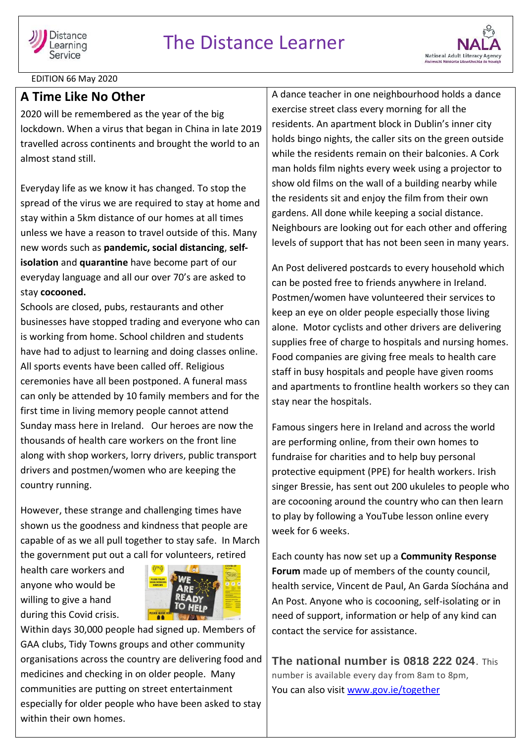



EDITION 66 May 2020

## **A Time Like No Other**

2020 will be remembered as the year of the big lockdown. When a virus that began in China in late 2019 travelled across continents and brought the world to an almost stand still.

Everyday life as we know it has changed. To stop the spread of the virus we are required to stay at home and stay within a 5km distance of our homes at all times unless we have a reason to travel outside of this. Many new words such as **pandemic, social distancing**, **selfisolation** and **quarantine** have become part of our everyday language and all our over 70's are asked to stay **cocooned.**

Schools are closed, pubs, restaurants and other businesses have stopped trading and everyone who can is working from home. School children and students have had to adjust to learning and doing classes online. All sports events have been called off. Religious ceremonies have all been postponed. A funeral mass can only be attended by 10 family members and for the first time in living memory people cannot attend Sunday mass here in Ireland. Our heroes are now the thousands of health care workers on the front line along with shop workers, lorry drivers, public transport drivers and postmen/women who are keeping the country running.

However, these strange and challenging times have shown us the goodness and kindness that people are capable of as we all pull together to stay safe. In March the government put out a call for volunteers, retired

health care workers and anyone who would be willing to give a hand during this Covid crisis.



Within days 30,000 people had signed up. Members of GAA clubs, Tidy Towns groups and other community organisations across the country are delivering food and medicines and checking in on older people. Many communities are putting on street entertainment especially for older people who have been asked to stay within their own homes.

A dance teacher in one neighbourhood holds a dance exercise street class every morning for all the residents. An apartment block in Dublin's inner city holds bingo nights, the caller sits on the green outside while the residents remain on their balconies. A Cork man holds film nights every week using a projector to show old films on the wall of a building nearby while the residents sit and enjoy the film from their own gardens. All done while keeping a social distance. Neighbours are looking out for each other and offering levels of support that has not been seen in many years.

An Post delivered postcards to every household which can be posted free to friends anywhere in Ireland. Postmen/women have volunteered their services to keep an eye on older people especially those living alone. Motor cyclists and other drivers are delivering supplies free of charge to hospitals and nursing homes. Food companies are giving free meals to health care staff in busy hospitals and people have given rooms and apartments to frontline health workers so they can stay near the hospitals.

Famous singers here in Ireland and across the world are performing online, from their own homes to fundraise for charities and to help buy personal protective equipment (PPE) for health workers. Irish singer Bressie, has sent out 200 ukuleles to people who are cocooning around the country who can then learn to play by following a YouTube lesson online every week for 6 weeks.

Each county has now set up a **Community Response Forum** made up of members of the county council, health service, Vincent de Paul, An Garda Síochána and An Post. Anyone who is cocooning, self-isolating or in need of support, information or help of any kind can contact the service for assistance.

**The national number is 0818 222 024**. This number is available every day from 8am to 8pm, You can also visit [www.gov.ie/together](http://www.gov.ie/together)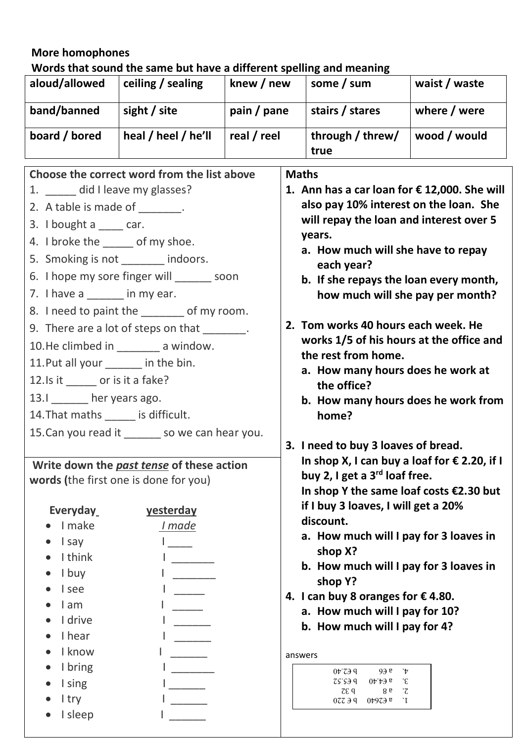## **More homophones**

**Words that sound the same but have a different spelling and meaning**

| aloud/allowed | ceiling / sealing        | knew / new  | some / sum               | waist / waste |
|---------------|--------------------------|-------------|--------------------------|---------------|
| band/banned   | sight $\frac{1}{2}$ site | pain / pane | stairs / stares          | where / were  |
| board / bored | heal / heel / he'll      | real / reel | through / threw/<br>true | wood / would  |

| Choose the correct word from the list above  |                                                 | <b>Maths</b>                                                                           |  |
|----------------------------------------------|-------------------------------------------------|----------------------------------------------------------------------------------------|--|
| 1. ______ did I leave my glasses?            |                                                 | 1. Ann has a car loan for $\epsilon$ 12,000. She will                                  |  |
| 2. A table is made of _______.               |                                                 | also pay 10% interest on the loan. She                                                 |  |
| 3. I bought a $\frac{1}{2}$ car.             |                                                 | will repay the loan and interest over 5                                                |  |
| 4. I broke the _____ of my shoe.             |                                                 | years.                                                                                 |  |
| 5. Smoking is not _______ indoors.           |                                                 | a. How much will she have to repay<br>each year?                                       |  |
| 6. I hope my sore finger will _______ soon   |                                                 | b. If she repays the loan every month,                                                 |  |
| 7. I have a $\frac{1}{\sqrt{2}}$ in my ear.  |                                                 | how much will she pay per month?                                                       |  |
| 8. I need to paint the _______ of my room.   |                                                 |                                                                                        |  |
| 9. There are a lot of steps on that _______. |                                                 | 2. Tom works 40 hours each week. He                                                    |  |
| 10. He climbed in ________ a window.         |                                                 | works 1/5 of his hours at the office and                                               |  |
| 11. Put all your ______ in the bin.          |                                                 | the rest from home.                                                                    |  |
| 12. Is it _______ or is it a fake?           |                                                 | a. How many hours does he work at<br>the office?                                       |  |
| 13.1 _______ her years ago.                  |                                                 | b. How many hours does he work from                                                    |  |
| 14. That maths ______ is difficult.          |                                                 | home?                                                                                  |  |
|                                              | 15. Can you read it _______ so we can hear you. |                                                                                        |  |
|                                              |                                                 | 3. I need to buy 3 loaves of bread.                                                    |  |
| Write down the past tense of these action    |                                                 | In shop X, I can buy a loaf for $\epsilon$ 2.20, if I                                  |  |
| words (the first one is done for you)        |                                                 | buy 2, I get a 3 <sup>rd</sup> loaf free.<br>In shop Y the same loaf costs $E2.30$ but |  |
|                                              |                                                 | if I buy 3 loaves, I will get a 20%                                                    |  |
| Everyday                                     | <b>yesterday</b>                                | discount.                                                                              |  |
| $\bullet$ I make<br>l say                    | <u>I</u> made                                   | a. How much will I pay for 3 loaves in                                                 |  |
| $\bullet$ Ithink                             | l and                                           | shop X?                                                                                |  |
| I buy                                        |                                                 | b. How much will I pay for 3 loaves in                                                 |  |
| I see                                        |                                                 | shop Y?                                                                                |  |
| I am                                         |                                                 | 4. I can buy 8 oranges for €4.80.                                                      |  |
| I drive                                      |                                                 | a. How much will I pay for 10?<br>b. How much will I pay for 4?                        |  |
| I hear                                       |                                                 |                                                                                        |  |
| I know                                       |                                                 |                                                                                        |  |
|                                              |                                                 | answers                                                                                |  |
| I bring                                      |                                                 | $0 \nu 799$<br>99e<br>`†                                                               |  |
| I sing                                       |                                                 | ZS'SJQ<br>$0 \uparrow \downarrow \ni s$<br>$\cdot \varepsilon$<br>zeq<br>- 7<br>8 g    |  |
| I try<br>I sleep                             |                                                 | 07799<br>$0 \nu 9$ Z $\theta$ <sup>B</sup><br>$\mathbf{I}$                             |  |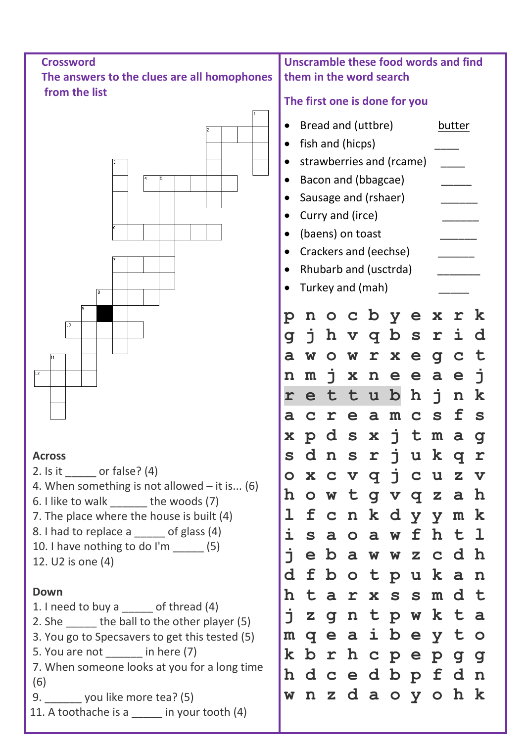